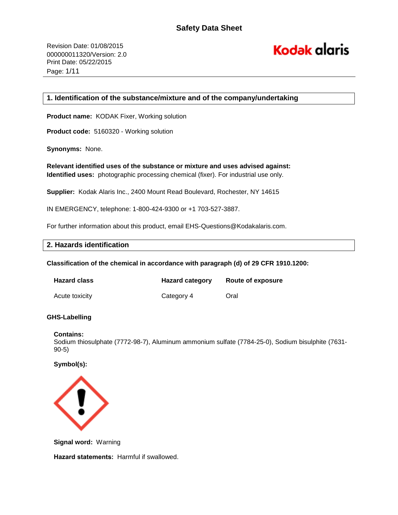# **Kodak alaris**

# **1. Identification of the substance/mixture and of the company/undertaking**

**Product name:** KODAK Fixer, Working solution

**Product code:** 5160320 - Working solution

**Synonyms:** None.

**Relevant identified uses of the substance or mixture and uses advised against: Identified uses:** photographic processing chemical (fixer). For industrial use only.

**Supplier:** Kodak Alaris Inc., 2400 Mount Read Boulevard, Rochester, NY 14615

IN EMERGENCY, telephone: 1-800-424-9300 or +1 703-527-3887.

For further information about this product, email EHS-Questions@Kodakalaris.com.

# **2. Hazards identification**

**Classification of the chemical in accordance with paragraph (d) of 29 CFR 1910.1200:** 

| <b>Hazard class</b> | <b>Hazard category</b> | Route of exposure |
|---------------------|------------------------|-------------------|
| Acute toxicity      | Category 4             | Oral              |

#### **GHS-Labelling**

#### **Contains:**

Sodium thiosulphate (7772-98-7), Aluminum ammonium sulfate (7784-25-0), Sodium bisulphite (7631- 90-5)

# **Symbol(s):**



**Signal word:** Warning

**Hazard statements:** Harmful if swallowed.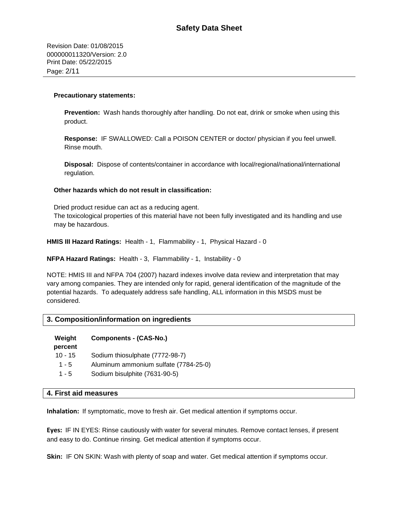Revision Date: 01/08/2015 000000011320/Version: 2.0 Print Date: 05/22/2015 Page: 2/11

#### **Precautionary statements:**

**Prevention:** Wash hands thoroughly after handling. Do not eat, drink or smoke when using this product.

**Response:** IF SWALLOWED: Call a POISON CENTER or doctor/ physician if you feel unwell. Rinse mouth.

**Disposal:** Dispose of contents/container in accordance with local/regional/national/international regulation.

#### **Other hazards which do not result in classification:**

Dried product residue can act as a reducing agent.

The toxicological properties of this material have not been fully investigated and its handling and use may be hazardous.

**HMIS III Hazard Ratings:** Health - 1, Flammability - 1, Physical Hazard - 0

**NFPA Hazard Ratings:** Health - 3, Flammability - 1, Instability - 0

NOTE: HMIS III and NFPA 704 (2007) hazard indexes involve data review and interpretation that may vary among companies. They are intended only for rapid, general identification of the magnitude of the potential hazards. To adequately address safe handling, ALL information in this MSDS must be considered.

#### **3. Composition/information on ingredients**

| Weight<br>percent | <b>Components - (CAS-No.)</b>         |
|-------------------|---------------------------------------|
| $10 - 15$         | Sodium thiosulphate (7772-98-7)       |
| $1 - 5$           | Aluminum ammonium sulfate (7784-25-0) |
| $1 - 5$           | Sodium bisulphite (7631-90-5)         |

#### **4. First aid measures**

**Inhalation:** If symptomatic, move to fresh air. Get medical attention if symptoms occur.

**Eyes:** IF IN EYES: Rinse cautiously with water for several minutes. Remove contact lenses, if present and easy to do. Continue rinsing. Get medical attention if symptoms occur.

**Skin:** IF ON SKIN: Wash with plenty of soap and water. Get medical attention if symptoms occur.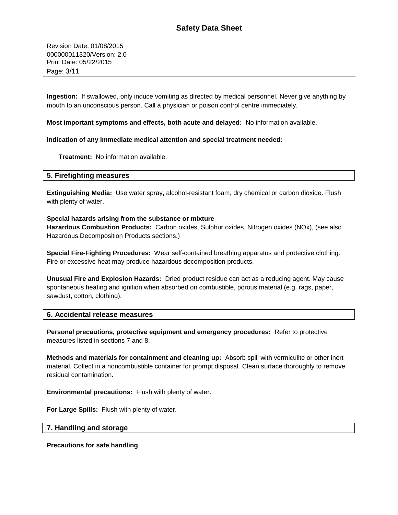Revision Date: 01/08/2015 000000011320/Version: 2.0 Print Date: 05/22/2015 Page: 3/11

**Ingestion:** If swallowed, only induce vomiting as directed by medical personnel. Never give anything by mouth to an unconscious person. Call a physician or poison control centre immediately.

#### **Most important symptoms and effects, both acute and delayed:** No information available.

#### **Indication of any immediate medical attention and special treatment needed:**

**Treatment:** No information available.

#### **5. Firefighting measures**

**Extinguishing Media:** Use water spray, alcohol-resistant foam, dry chemical or carbon dioxide. Flush with plenty of water.

#### **Special hazards arising from the substance or mixture**

**Hazardous Combustion Products:** Carbon oxides, Sulphur oxides, Nitrogen oxides (NOx), (see also Hazardous Decomposition Products sections.)

**Special Fire-Fighting Procedures:** Wear self-contained breathing apparatus and protective clothing. Fire or excessive heat may produce hazardous decomposition products.

**Unusual Fire and Explosion Hazards:** Dried product residue can act as a reducing agent. May cause spontaneous heating and ignition when absorbed on combustible, porous material (e.g. rags, paper, sawdust, cotton, clothing).

#### **6. Accidental release measures**

**Personal precautions, protective equipment and emergency procedures:** Refer to protective measures listed in sections 7 and 8.

**Methods and materials for containment and cleaning up:** Absorb spill with vermiculite or other inert material. Collect in a noncombustible container for prompt disposal. Clean surface thoroughly to remove residual contamination.

**Environmental precautions:** Flush with plenty of water.

**For Large Spills:** Flush with plenty of water.

#### **7. Handling and storage**

**Precautions for safe handling**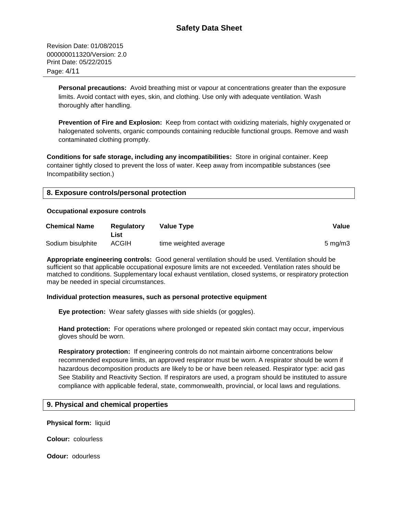Revision Date: 01/08/2015 000000011320/Version: 2.0 Print Date: 05/22/2015 Page: 4/11

> **Personal precautions:** Avoid breathing mist or vapour at concentrations greater than the exposure limits. Avoid contact with eyes, skin, and clothing. Use only with adequate ventilation. Wash thoroughly after handling.

**Prevention of Fire and Explosion:** Keep from contact with oxidizing materials, highly oxygenated or halogenated solvents, organic compounds containing reducible functional groups. Remove and wash contaminated clothing promptly.

**Conditions for safe storage, including any incompatibilities:** Store in original container. Keep container tightly closed to prevent the loss of water. Keep away from incompatible substances (see Incompatibility section.)

| 8. Exposure controls/personal protection |  |
|------------------------------------------|--|
|------------------------------------------|--|

#### **Occupational exposure controls**

| <b>Chemical Name</b> | <b>Regulatory</b><br>List | Value Type            | Value            |
|----------------------|---------------------------|-----------------------|------------------|
| Sodium bisulphite    | <b>ACGIH</b>              | time weighted average | $5 \text{ mg/m}$ |

**Appropriate engineering controls:** Good general ventilation should be used. Ventilation should be sufficient so that applicable occupational exposure limits are not exceeded. Ventilation rates should be matched to conditions. Supplementary local exhaust ventilation, closed systems, or respiratory protection may be needed in special circumstances.

#### **Individual protection measures, such as personal protective equipment**

**Eye protection:** Wear safety glasses with side shields (or goggles).

**Hand protection:** For operations where prolonged or repeated skin contact may occur, impervious gloves should be worn.

**Respiratory protection:** If engineering controls do not maintain airborne concentrations below recommended exposure limits, an approved respirator must be worn. A respirator should be worn if hazardous decomposition products are likely to be or have been released. Respirator type: acid gas See Stability and Reactivity Section. If respirators are used, a program should be instituted to assure compliance with applicable federal, state, commonwealth, provincial, or local laws and regulations.

# **9. Physical and chemical properties**

**Physical form:** liquid

**Colour:** colourless

**Odour:** odourless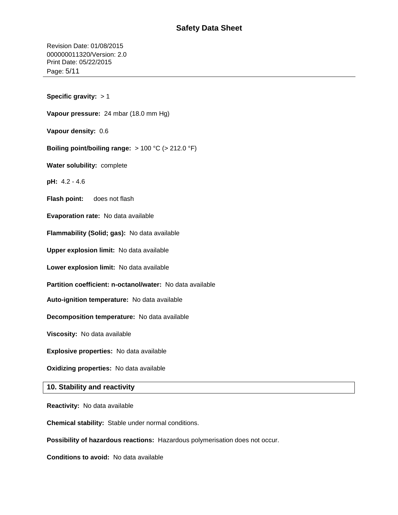# **Safety Data Sheet**

Revision Date: 01/08/2015 000000011320/Version: 2.0 Print Date: 05/22/2015 Page: 5/11

**Specific gravity:** > 1 **Vapour pressure:** 24 mbar (18.0 mm Hg) **Vapour density:** 0.6 **Boiling point/boiling range:** > 100 °C (> 212.0 °F) **Water solubility:** complete **pH:** 4.2 - 4.6 **Flash point:** does not flash **Evaporation rate:** No data available **Flammability (Solid; gas):** No data available **Upper explosion limit:** No data available **Lower explosion limit:** No data available **Partition coefficient: n-octanol/water:** No data available **Auto-ignition temperature:** No data available **Decomposition temperature:** No data available **Viscosity:** No data available **Explosive properties:** No data available **Oxidizing properties:** No data available **10. Stability and reactivity**

**Reactivity:** No data available

**Chemical stability:** Stable under normal conditions.

**Possibility of hazardous reactions:** Hazardous polymerisation does not occur.

**Conditions to avoid:** No data available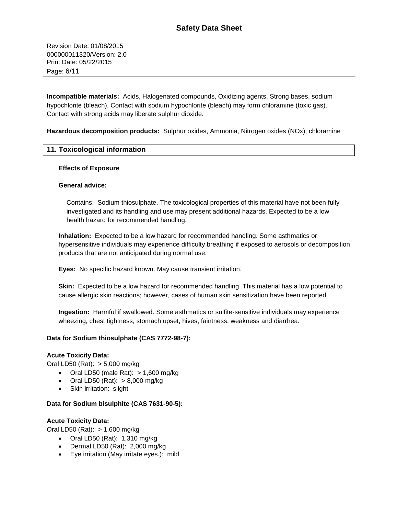Revision Date: 01/08/2015 000000011320/Version: 2.0 Print Date: 05/22/2015 Page: 6/11

**Incompatible materials:** Acids, Halogenated compounds, Oxidizing agents, Strong bases, sodium hypochlorite (bleach). Contact with sodium hypochlorite (bleach) may form chloramine (toxic gas). Contact with strong acids may liberate sulphur dioxide.

**Hazardous decomposition products:** Sulphur oxides, Ammonia, Nitrogen oxides (NOx), chloramine

# **11. Toxicological information**

#### **Effects of Exposure**

#### **General advice:**

Contains: Sodium thiosulphate. The toxicological properties of this material have not been fully investigated and its handling and use may present additional hazards. Expected to be a low health hazard for recommended handling.

**Inhalation:** Expected to be a low hazard for recommended handling. Some asthmatics or hypersensitive individuals may experience difficulty breathing if exposed to aerosols or decomposition products that are not anticipated during normal use.

**Eyes:** No specific hazard known. May cause transient irritation.

**Skin:** Expected to be a low hazard for recommended handling. This material has a low potential to cause allergic skin reactions; however, cases of human skin sensitization have been reported.

**Ingestion:** Harmful if swallowed. Some asthmatics or sulfite-sensitive individuals may experience wheezing, chest tightness, stomach upset, hives, faintness, weakness and diarrhea.

# **Data for Sodium thiosulphate (CAS 7772-98-7):**

#### **Acute Toxicity Data:**

Oral LD50 (Rat): > 5,000 mg/kg

- $\bullet$  Oral LD50 (male Rat):  $> 1,600$  mg/kg
- $\bullet$  Oral LD50 (Rat):  $> 8,000$  mg/kg
- Skin irritation: slight

#### **Data for Sodium bisulphite (CAS 7631-90-5):**

#### **Acute Toxicity Data:**

Oral LD50 (Rat): > 1,600 mg/kg

- $\bullet$  Oral LD50 (Rat): 1,310 mg/kg
- Dermal LD50 (Rat): 2,000 mg/kg
- Eye irritation (May irritate eyes.): mild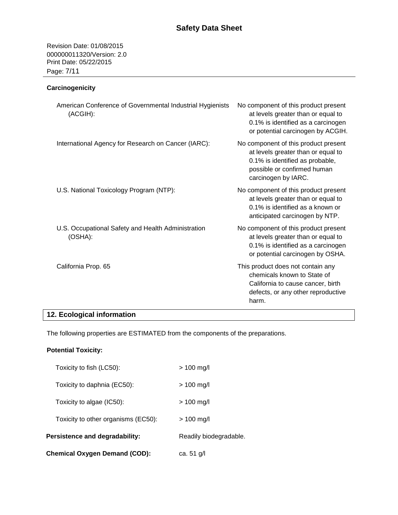Revision Date: 01/08/2015 000000011320/Version: 2.0 Print Date: 05/22/2015 Page: 7/11

# **Carcinogenicity**

| American Conference of Governmental Industrial Hygienists<br>(ACGIH): | No component of this product present<br>at levels greater than or equal to<br>0.1% is identified as a carcinogen<br>or potential carcinogen by ACGIH.               |
|-----------------------------------------------------------------------|---------------------------------------------------------------------------------------------------------------------------------------------------------------------|
| International Agency for Research on Cancer (IARC):                   | No component of this product present<br>at levels greater than or equal to<br>0.1% is identified as probable,<br>possible or confirmed human<br>carcinogen by IARC. |
| U.S. National Toxicology Program (NTP):                               | No component of this product present<br>at levels greater than or equal to<br>0.1% is identified as a known or<br>anticipated carcinogen by NTP.                    |
| U.S. Occupational Safety and Health Administration<br>(OSHA):         | No component of this product present<br>at levels greater than or equal to<br>0.1% is identified as a carcinogen<br>or potential carcinogen by OSHA.                |
| California Prop. 65                                                   | This product does not contain any<br>chemicals known to State of<br>California to cause cancer, birth<br>defects, or any other reproductive<br>harm.                |

# **12. Ecological information**

The following properties are ESTIMATED from the components of the preparations.

# **Potential Toxicity:**

| Chemical Oxygen Demand (COD):       | ca. 51 g/l             |
|-------------------------------------|------------------------|
| Persistence and degradability:      | Readily biodegradable. |
| Toxicity to other organisms (EC50): | $> 100$ mg/l           |
| Toxicity to algae (IC50):           | $> 100$ mg/l           |
| Toxicity to daphnia (EC50):         | $> 100$ mg/l           |
| Toxicity to fish (LC50):            | $> 100$ mg/l           |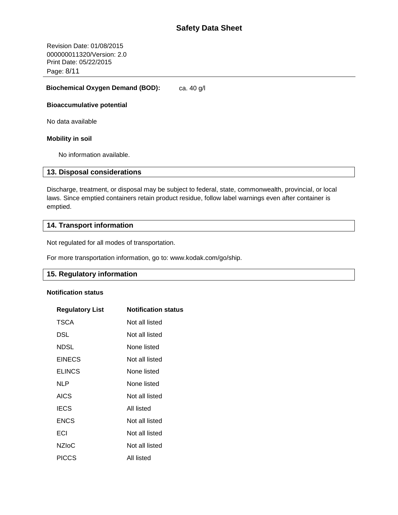Revision Date: 01/08/2015 000000011320/Version: 2.0 Print Date: 05/22/2015 Page: 8/11

#### **Biochemical Oxygen Demand (BOD):** ca. 40 g/l

#### **Bioaccumulative potential**

No data available

#### **Mobility in soil**

No information available.

# **13. Disposal considerations**

Discharge, treatment, or disposal may be subject to federal, state, commonwealth, provincial, or local laws. Since emptied containers retain product residue, follow label warnings even after container is emptied.

# **14. Transport information**

Not regulated for all modes of transportation.

For more transportation information, go to: www.kodak.com/go/ship.

# **15. Regulatory information**

#### **Notification status**

| <b>Regulatory List</b> | <b>Notification status</b> |
|------------------------|----------------------------|
| TSCA                   | Not all listed             |
| DSL                    | Not all listed             |
| <b>NDSL</b>            | None listed                |
| <b>EINECS</b>          | Not all listed             |
| <b>ELINCS</b>          | None listed                |
| NLP                    | None listed                |
| <b>AICS</b>            | Not all listed             |
| <b>IECS</b>            | All listed                 |
| <b>ENCS</b>            | Not all listed             |
| ECI                    | Not all listed             |
| <b>NZIoC</b>           | Not all listed             |
| <b>PICCS</b>           | All listed                 |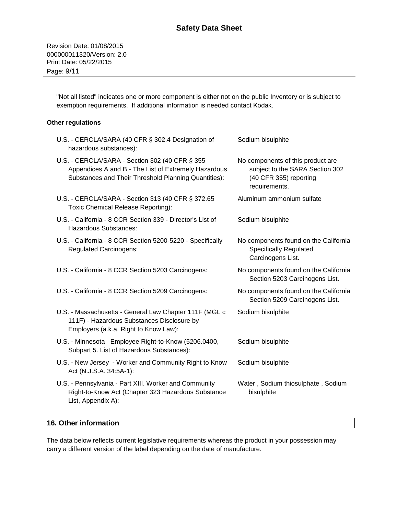"Not all listed" indicates one or more component is either not on the public Inventory or is subject to exemption requirements. If additional information is needed contact Kodak.

# **Other regulations**

| U.S. - CERCLA/SARA (40 CFR § 302.4 Designation of<br>hazardous substances):                                                                                    | Sodium bisulphite                                                                                               |
|----------------------------------------------------------------------------------------------------------------------------------------------------------------|-----------------------------------------------------------------------------------------------------------------|
| U.S. - CERCLA/SARA - Section 302 (40 CFR § 355<br>Appendices A and B - The List of Extremely Hazardous<br>Substances and Their Threshold Planning Quantities): | No components of this product are<br>subject to the SARA Section 302<br>(40 CFR 355) reporting<br>requirements. |
| U.S. - CERCLA/SARA - Section 313 (40 CFR § 372.65<br>Toxic Chemical Release Reporting):                                                                        | Aluminum ammonium sulfate                                                                                       |
| U.S. - California - 8 CCR Section 339 - Director's List of<br>Hazardous Substances:                                                                            | Sodium bisulphite                                                                                               |
| U.S. - California - 8 CCR Section 5200-5220 - Specifically<br><b>Regulated Carcinogens:</b>                                                                    | No components found on the California<br><b>Specifically Regulated</b><br>Carcinogens List.                     |
| U.S. - California - 8 CCR Section 5203 Carcinogens:                                                                                                            | No components found on the California<br>Section 5203 Carcinogens List.                                         |
| U.S. - California - 8 CCR Section 5209 Carcinogens:                                                                                                            | No components found on the California<br>Section 5209 Carcinogens List.                                         |
| U.S. - Massachusetts - General Law Chapter 111F (MGL c<br>111F) - Hazardous Substances Disclosure by<br>Employers (a.k.a. Right to Know Law):                  | Sodium bisulphite                                                                                               |
| U.S. - Minnesota Employee Right-to-Know (5206.0400,<br>Subpart 5. List of Hazardous Substances):                                                               | Sodium bisulphite                                                                                               |
| U.S. - New Jersey - Worker and Community Right to Know<br>Act (N.J.S.A. 34:5A-1):                                                                              | Sodium bisulphite                                                                                               |
| U.S. - Pennsylvania - Part XIII. Worker and Community<br>Right-to-Know Act (Chapter 323 Hazardous Substance<br>List, Appendix A):                              | Water, Sodium thiosulphate, Sodium<br>bisulphite                                                                |

# **16. Other information**

The data below reflects current legislative requirements whereas the product in your possession may carry a different version of the label depending on the date of manufacture.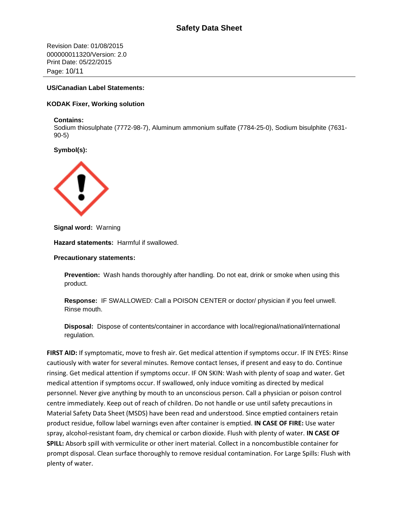Revision Date: 01/08/2015 000000011320/Version: 2.0 Print Date: 05/22/2015 Page: 10/11

### **US/Canadian Label Statements:**

#### **KODAK Fixer, Working solution**

#### **Contains:**

Sodium thiosulphate (7772-98-7), Aluminum ammonium sulfate (7784-25-0), Sodium bisulphite (7631- 90-5)

# **Symbol(s):**



**Signal word:** Warning

**Hazard statements:** Harmful if swallowed.

**Precautionary statements:** 

**Prevention:** Wash hands thoroughly after handling. Do not eat, drink or smoke when using this product.

**Response:** IF SWALLOWED: Call a POISON CENTER or doctor/ physician if you feel unwell. Rinse mouth.

**Disposal:** Dispose of contents/container in accordance with local/regional/national/international regulation.

**FIRST AID:** If symptomatic, move to fresh air. Get medical attention if symptoms occur. IF IN EYES: Rinse cautiously with water for several minutes. Remove contact lenses, if present and easy to do. Continue rinsing. Get medical attention if symptoms occur. IF ON SKIN: Wash with plenty of soap and water. Get medical attention if symptoms occur. If swallowed, only induce vomiting as directed by medical personnel. Never give anything by mouth to an unconscious person. Call a physician or poison control centre immediately. Keep out of reach of children. Do not handle or use until safety precautions in Material Safety Data Sheet (MSDS) have been read and understood. Since emptied containers retain product residue, follow label warnings even after container is emptied. **IN CASE OF FIRE:** Use water spray, alcohol-resistant foam, dry chemical or carbon dioxide. Flush with plenty of water. **IN CASE OF SPILL:** Absorb spill with vermiculite or other inert material. Collect in a noncombustible container for prompt disposal. Clean surface thoroughly to remove residual contamination. For Large Spills: Flush with plenty of water.